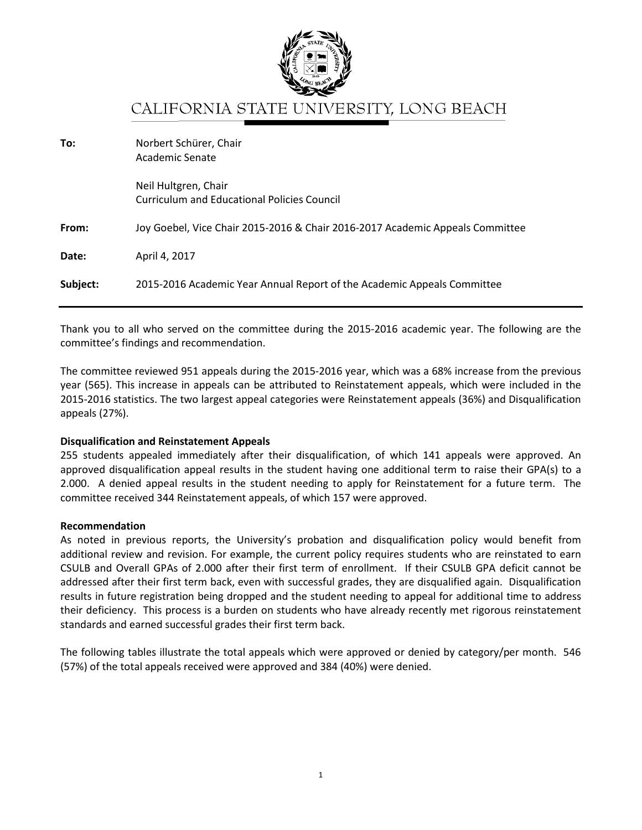

## CALIFORNIA STATE UNIVERSITY, LONG BEACH

| To:      | Norbert Schürer, Chair<br>Academic Senate                                     |
|----------|-------------------------------------------------------------------------------|
|          | Neil Hultgren, Chair<br><b>Curriculum and Educational Policies Council</b>    |
| From:    | Joy Goebel, Vice Chair 2015-2016 & Chair 2016-2017 Academic Appeals Committee |
| Date:    | April 4, 2017                                                                 |
| Subject: | 2015-2016 Academic Year Annual Report of the Academic Appeals Committee       |

Thank you to all who served on the committee during the 2015-2016 academic year. The following are the committee's findings and recommendation.

The committee reviewed 951 appeals during the 2015-2016 year, which was a 68% increase from the previous year (565). This increase in appeals can be attributed to Reinstatement appeals, which were included in the 2015-2016 statistics. The two largest appeal categories were Reinstatement appeals (36%) and Disqualification appeals (27%).

## **Disqualification and Reinstatement Appeals**

255 students appealed immediately after their disqualification, of which 141 appeals were approved. An approved disqualification appeal results in the student having one additional term to raise their GPA(s) to a 2.000. A denied appeal results in the student needing to apply for Reinstatement for a future term. The committee received 344 Reinstatement appeals, of which 157 were approved.

## **Recommendation**

As noted in previous reports, the University's probation and disqualification policy would benefit from additional review and revision. For example, the current policy requires students who are reinstated to earn CSULB and Overall GPAs of 2.000 after their first term of enrollment. If their CSULB GPA deficit cannot be addressed after their first term back, even with successful grades, they are disqualified again. Disqualification results in future registration being dropped and the student needing to appeal for additional time to address their deficiency. This process is a burden on students who have already recently met rigorous reinstatement standards and earned successful grades their first term back.

The following tables illustrate the total appeals which were approved or denied by category/per month. 546 (57%) of the total appeals received were approved and 384 (40%) were denied.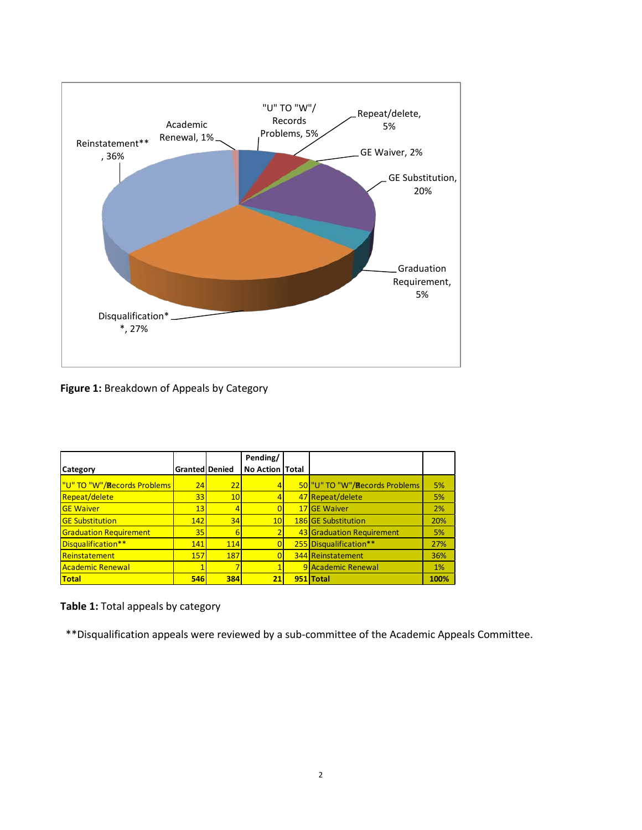

**Figure 1:** Breakdown of Appeals by Category

|                                     |                |     | Pending/        |                                |      |
|-------------------------------------|----------------|-----|-----------------|--------------------------------|------|
| Category                            | Granted Denied |     | No Action Total |                                |      |
| <u> "U" TO "W"/Records Problems</u> | 24             | 22  |                 | 50 "U" TO "W"/Records Problems | 5%   |
| Repeat/delete                       | 33             | 10  |                 | 47 Repeat/delete               | 5%   |
| <b>GE Waiver</b>                    | 13             | 4   |                 | 17 GE Waiver                   | 2%   |
| <b>GE Substitution</b>              | 142            | 34  | 10              | <b>186 GE Substitution</b>     | 20%  |
| <b>Graduation Requirement</b>       | 35             | 6   |                 | 43 Graduation Requirement      | 5%   |
| Disqualification**                  | 141            | 114 | $\overline{0}$  | 255 Disqualification**         | 27%  |
| Reinstatement                       | 157            | 187 | 0               | <b>344 Reinstatement</b>       | 36%  |
| Academic Renewal                    |                |     |                 | 9 Academic Renewal             | 1%   |
| <b>Total</b>                        | <b>546</b>     | 384 | 21              | 951 Total                      | 100% |

**Table 1:** Total appeals by category

\*\*Disqualification appeals were reviewed by a sub-committee of the Academic Appeals Committee.